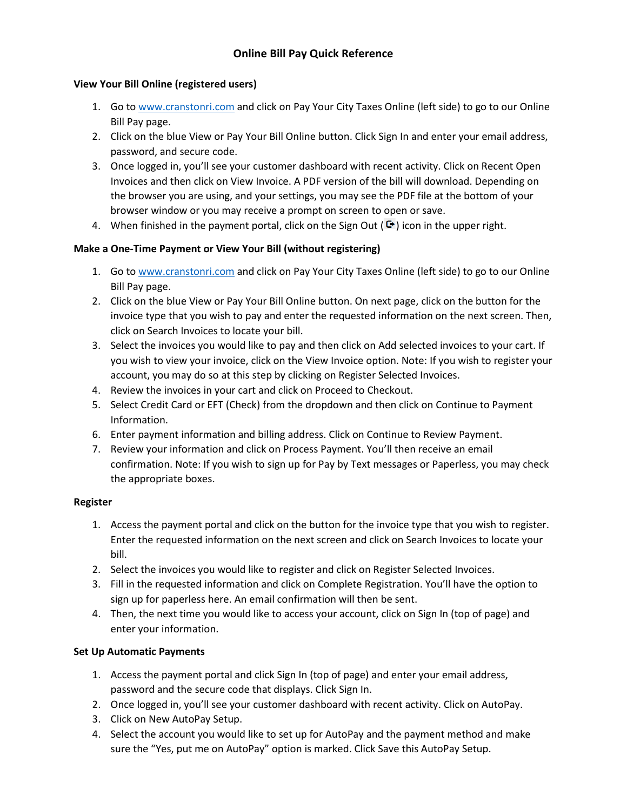#### **View Your Bill Online (registered users)**

- 1. Go to [www.cranstonri.com](http://www.cranstonri.com/) and click on Pay Your City Taxes Online (left side) to go to our Online Bill Pay page.
- 2. Click on the blue View or Pay Your Bill Online button. Click Sign In and enter your email address, password, and secure code.
- 3. Once logged in, you'll see your customer dashboard with recent activity. Click on Recent Open Invoices and then click on View Invoice. A PDF version of the bill will download. Depending on the browser you are using, and your settings, you may see the PDF file at the bottom of your browser window or you may receive a prompt on screen to open or save.
- 4. When finished in the payment portal, click on the Sign Out ( $\mathbb{G}$ ) icon in the upper right.

## **Make a One-Time Payment or View Your Bill (without registering)**

- 1. Go to [www.cranstonri.com](http://www.cranstonri.com/) and click on Pay Your City Taxes Online (left side) to go to our Online Bill Pay page.
- 2. Click on the blue View or Pay Your Bill Online button. On next page, click on the button for the invoice type that you wish to pay and enter the requested information on the next screen. Then, click on Search Invoices to locate your bill.
- 3. Select the invoices you would like to pay and then click on Add selected invoices to your cart. If you wish to view your invoice, click on the View Invoice option. Note: If you wish to register your account, you may do so at this step by clicking on Register Selected Invoices.
- 4. Review the invoices in your cart and click on Proceed to Checkout.
- 5. Select Credit Card or EFT (Check) from the dropdown and then click on Continue to Payment Information.
- 6. Enter payment information and billing address. Click on Continue to Review Payment.
- 7. Review your information and click on Process Payment. You'll then receive an email confirmation. Note: If you wish to sign up for Pay by Text messages or Paperless, you may check the appropriate boxes.

## **Register**

- 1. Access the payment portal and click on the button for the invoice type that you wish to register. Enter the requested information on the next screen and click on Search Invoices to locate your bill.
- 2. Select the invoices you would like to register and click on Register Selected Invoices.
- 3. Fill in the requested information and click on Complete Registration. You'll have the option to sign up for paperless here. An email confirmation will then be sent.
- 4. Then, the next time you would like to access your account, click on Sign In (top of page) and enter your information.

# **Set Up Automatic Payments**

- 1. Access the payment portal and click Sign In (top of page) and enter your email address, password and the secure code that displays. Click Sign In.
- 2. Once logged in, you'll see your customer dashboard with recent activity. Click on AutoPay.
- 3. Click on New AutoPay Setup.
- 4. Select the account you would like to set up for AutoPay and the payment method and make sure the "Yes, put me on AutoPay" option is marked. Click Save this AutoPay Setup.